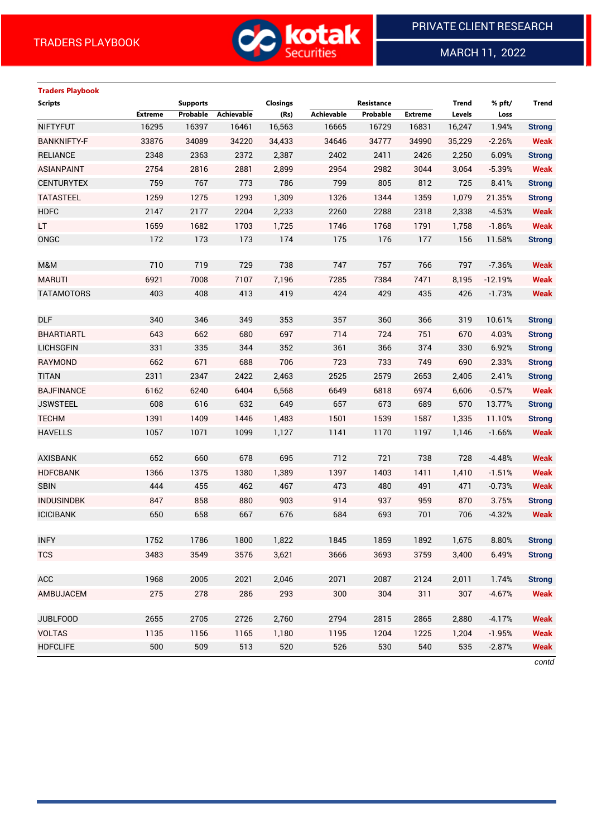

MARCH 11, 2022

 $\overline{a}$ 

# **Traders Playbook**

| <b>Scripts</b>     |                | <b>Supports</b> |            | Closings |            | Resistance |                | <b>Trend</b> | % pft/    | <b>Trend</b>  |
|--------------------|----------------|-----------------|------------|----------|------------|------------|----------------|--------------|-----------|---------------|
|                    | <b>Extreme</b> | Probable        | Achievable | (Rs)     | Achievable | Probable   | <b>Extreme</b> | Levels       | Loss      |               |
| <b>NIFTYFUT</b>    | 16295          | 16397           | 16461      | 16,563   | 16665      | 16729      | 16831          | 16,247       | 1.94%     | <b>Strong</b> |
| <b>BANKNIFTY-F</b> | 33876          | 34089           | 34220      | 34,433   | 34646      | 34777      | 34990          | 35,229       | $-2.26%$  | <b>Weak</b>   |
| <b>RELIANCE</b>    | 2348           | 2363            | 2372       | 2,387    | 2402       | 2411       | 2426           | 2,250        | 6.09%     | <b>Strong</b> |
| <b>ASIANPAINT</b>  | 2754           | 2816            | 2881       | 2,899    | 2954       | 2982       | 3044           | 3,064        | $-5.39%$  | <b>Weak</b>   |
| <b>CENTURYTEX</b>  | 759            | 767             | 773        | 786      | 799        | 805        | 812            | 725          | 8.41%     | <b>Strong</b> |
| <b>TATASTEEL</b>   | 1259           | 1275            | 1293       | 1,309    | 1326       | 1344       | 1359           | 1,079        | 21.35%    | <b>Strong</b> |
| <b>HDFC</b>        | 2147           | 2177            | 2204       | 2,233    | 2260       | 2288       | 2318           | 2,338        | $-4.53%$  | <b>Weak</b>   |
| LT.                | 1659           | 1682            | 1703       | 1,725    | 1746       | 1768       | 1791           | 1,758        | $-1.86%$  | <b>Weak</b>   |
| ONGC               | 172            | 173             | 173        | 174      | 175        | 176        | 177            | 156          | 11.58%    | <b>Strong</b> |
|                    |                |                 |            |          |            |            |                |              |           |               |
| M&M                | 710            | 719             | 729        | 738      | 747        | 757        | 766            | 797          | $-7.36%$  | <b>Weak</b>   |
| <b>MARUTI</b>      | 6921           | 7008            | 7107       | 7,196    | 7285       | 7384       | 7471           | 8,195        | $-12.19%$ | <b>Weak</b>   |
| <b>TATAMOTORS</b>  | 403            | 408             | 413        | 419      | 424        | 429        | 435            | 426          | $-1.73%$  | <b>Weak</b>   |
|                    |                |                 |            |          |            |            |                |              |           |               |
| <b>DLF</b>         | 340            | 346             | 349        | 353      | 357        | 360        | 366            | 319          | 10.61%    | <b>Strong</b> |
| <b>BHARTIARTL</b>  | 643            | 662             | 680        | 697      | 714        | 724        | 751            | 670          | 4.03%     | <b>Strong</b> |
| <b>LICHSGFIN</b>   | 331            | 335             | 344        | 352      | 361        | 366        | 374            | 330          | 6.92%     | <b>Strong</b> |
| <b>RAYMOND</b>     | 662            | 671             | 688        | 706      | 723        | 733        | 749            | 690          | 2.33%     | <b>Strong</b> |
| <b>TITAN</b>       | 2311           | 2347            | 2422       | 2,463    | 2525       | 2579       | 2653           | 2,405        | 2.41%     | <b>Strong</b> |
| <b>BAJFINANCE</b>  | 6162           | 6240            | 6404       | 6,568    | 6649       | 6818       | 6974           | 6,606        | $-0.57%$  | <b>Weak</b>   |
| <b>JSWSTEEL</b>    | 608            | 616             | 632        | 649      | 657        | 673        | 689            | 570          | 13.77%    | <b>Strong</b> |
| <b>TECHM</b>       | 1391           | 1409            | 1446       | 1,483    | 1501       | 1539       | 1587           | 1,335        | 11.10%    | <b>Strong</b> |
| <b>HAVELLS</b>     | 1057           | 1071            | 1099       | 1,127    | 1141       | 1170       | 1197           | 1,146        | $-1.66%$  | <b>Weak</b>   |
|                    |                |                 |            |          |            |            |                |              |           |               |
| <b>AXISBANK</b>    | 652            | 660             | 678        | 695      | 712        | 721        | 738            | 728          | $-4.48%$  | <b>Weak</b>   |
| <b>HDFCBANK</b>    | 1366           | 1375            | 1380       | 1,389    | 1397       | 1403       | 1411           | 1,410        | $-1.51%$  | <b>Weak</b>   |
| <b>SBIN</b>        | 444            | 455             | 462        | 467      | 473        | 480        | 491            | 471          | $-0.73%$  | <b>Weak</b>   |
| <b>INDUSINDBK</b>  | 847            | 858             | 880        | 903      | 914        | 937        | 959            | 870          | 3.75%     | <b>Strong</b> |
| <b>ICICIBANK</b>   | 650            | 658             | 667        | 676      | 684        | 693        | 701            | 706          | $-4.32%$  | <b>Weak</b>   |
|                    |                |                 |            |          |            |            |                |              |           |               |
| <b>INFY</b>        | 1752           | 1786            | 1800       | 1.822    | 1845       | 1859       | 1892           | 1.675        | 8.80%     | Strong        |
| <b>TCS</b>         | 3483           | 3549            | 3576       | 3,621    | 3666       | 3693       | 3759           | 3,400        | 6.49%     | <b>Strong</b> |
|                    |                |                 |            |          |            |            |                |              |           |               |
| ACC                | 1968           | 2005            | 2021       | 2,046    | 2071       | 2087       | 2124           | 2,011        | 1.74%     | <b>Strong</b> |
| AMBUJACEM          | 275            | 278             | 286        | 293      | 300        | 304        | 311            | 307          | $-4.67%$  | <b>Weak</b>   |
| <b>JUBLFOOD</b>    | 2655           | 2705            | 2726       | 2,760    | 2794       | 2815       | 2865           | 2,880        | $-4.17%$  | <b>Weak</b>   |
| <b>VOLTAS</b>      | 1135           | 1156            | 1165       | 1,180    | 1195       | 1204       | 1225           | 1,204        | $-1.95%$  | <b>Weak</b>   |
| <b>HDFCLIFE</b>    | 500            | 509             | 513        | 520      | 526        | 530        | 540            | 535          | $-2.87%$  | <b>Weak</b>   |
|                    |                |                 |            |          |            |            |                |              |           | contd         |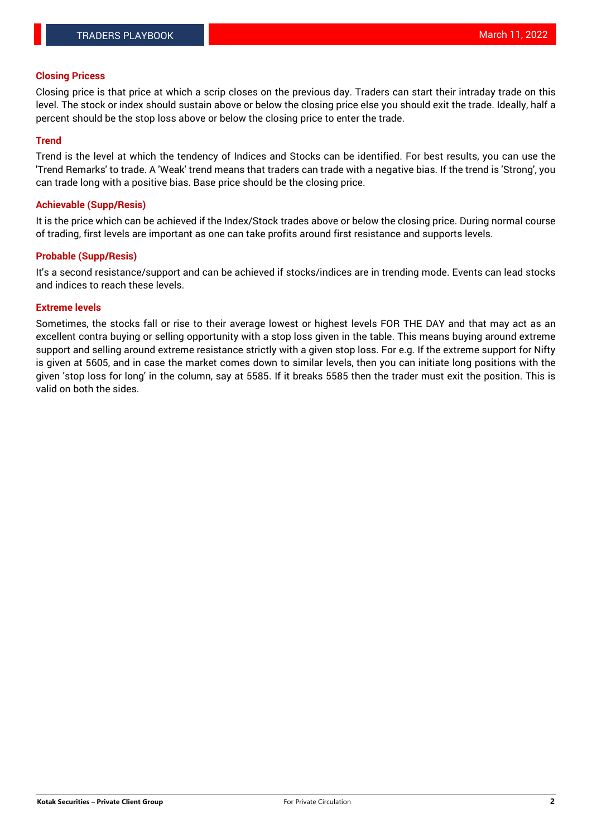## **Closing Pricess**

Closing price is that price at which a scrip closes on the previous day. Traders can start their intraday trade on this level. The stock or index should sustain above or below the closing price else you should exit the trade. Ideally, half a percent should be the stop loss above or below the closing price to enter the trade.

## **Trend**

Trend is the level at which the tendency of Indices and Stocks can be identified. For best results, you can use the 'Trend Remarks' to trade. A 'Weak' trend means that traders can trade with a negative bias. If the trend is 'Strong', you can trade long with a positive bias. Base price should be the closing price.

#### **Achievable (Supp/Resis)**

It is the price which can be achieved if the Index/Stock trades above or below the closing price. During normal course of trading, first levels are important as one can take profits around first resistance and supports levels.

## **Probable (Supp/Resis)**

It's a second resistance/support and can be achieved if stocks/indices are in trending mode. Events can lead stocks and indices to reach these levels.

## **Extreme levels**

Sometimes, the stocks fall or rise to their average lowest or highest levels FOR THE DAY and that may act as an excellent contra buying or selling opportunity with a stop loss given in the table. This means buying around extreme support and selling around extreme resistance strictly with a given stop loss. For e.g. If the extreme support for Nifty is given at 5605, and in case the market comes down to similar levels, then you can initiate long positions with the given 'stop loss for long' in the column, say at 5585. If it breaks 5585 then the trader must exit the position. This is valid on both the sides.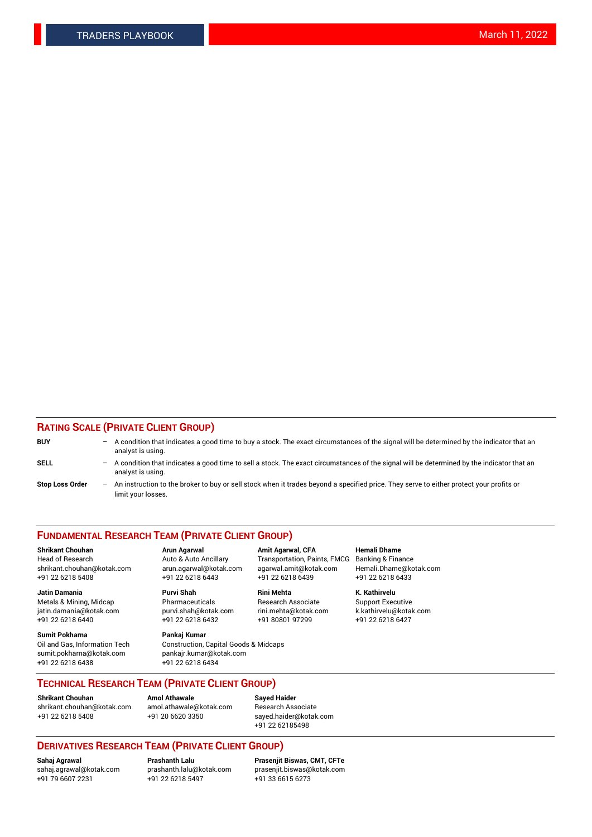## **RATING SCALE (PRIVATE CLIENT GROUP)**

| <b>BUY</b>             | -                 | A condition that indicates a good time to buy a stock. The exact circumstances of the signal will be determined by the indicator that an<br>analyst is using.  |
|------------------------|-------------------|----------------------------------------------------------------------------------------------------------------------------------------------------------------|
| SELL                   | -                 | A condition that indicates a good time to sell a stock. The exact circumstances of the signal will be determined by the indicator that an<br>analyst is using. |
| <b>Stop Loss Order</b> | $\qquad \qquad -$ | An instruction to the broker to buy or sell stock when it trades beyond a specified price. They serve to either protect your profits or<br>limit your losses.  |

#### **FUNDAMENTAL RESEARCH TEAM (PRIVATE CLIENT GROUP)**

**Shrikant Chouhan Arun Agarwal Amit Agarwal, CFA Hemali Dhame** Head of Research Auto & Auto Ancillary Transportation, Paints, FMCG Banking & Finance shrikant.chouhan@kotak.com arun.agarwal@kotak.com agarwal.amit@kotak.com Hemali.Dhame@kotak.com

**Jatin Damania Purvi Shah Rini Mehta K. Kathirvelu** Metals & Mining, Midcap **Pharmaceuticals** Research Associate Support Executive jatin.damania@kotak.com [purvi.shah@kotak.com](mailto:purvi.shah@kotak.com) rini.mehta@kotak.com [k.kathirvelu@kotak.com](mailto:k.kathirvelu@kotak.com)  $+91$  22 6218 6440  $+91$  22 6218 6432

**Sumit Pokharna Pankaj Kumar** sumit.pokharna@kotak.com pankajr.kumar@kotak.com +91 22 6218 6438 +91 22 6218 6434

Oil and Gas, Information Tech Construction, Capital Goods & Midcaps

+91 22 6218 5408 +91 22 6218 6443 +91 22 6218 6439 +91 22 6218 6433

**TECHNICAL RESEARCH TEAM (PRIVATE CLIENT GROUP)**

[shrikant.chouhan@kotak.com](mailto:shrikant.chouhan@kotak.com) [amol.athawale@kotak.com](mailto:amol.athawale@kotak.com) Research Associate +91 22 6218 5408 +91 20 6620 3350 [sayed.haider@kotak.com](mailto:sayed.haider@kotak.com)

**Shrikant Chouhan Amol Athawale Sayed Haider**

+91 22 62185498

# **DERIVATIVES RESEARCH TEAM (PRIVATE CLIENT GROUP)**

 $+91$  22 6218 5497

**Sahaj Agrawal Prashanth Lalu Prasenjit Biswas, CMT, CFTe** [sahaj.agrawal@kotak.com](mailto:sahaj.agrawal@kotak.com) [prashanth.lalu@kotak.com](mailto:prashanth.lalu@kotak.com) [prasenjit.biswas@kotak.com](mailto:prasenjit.biswas@kotak.com)